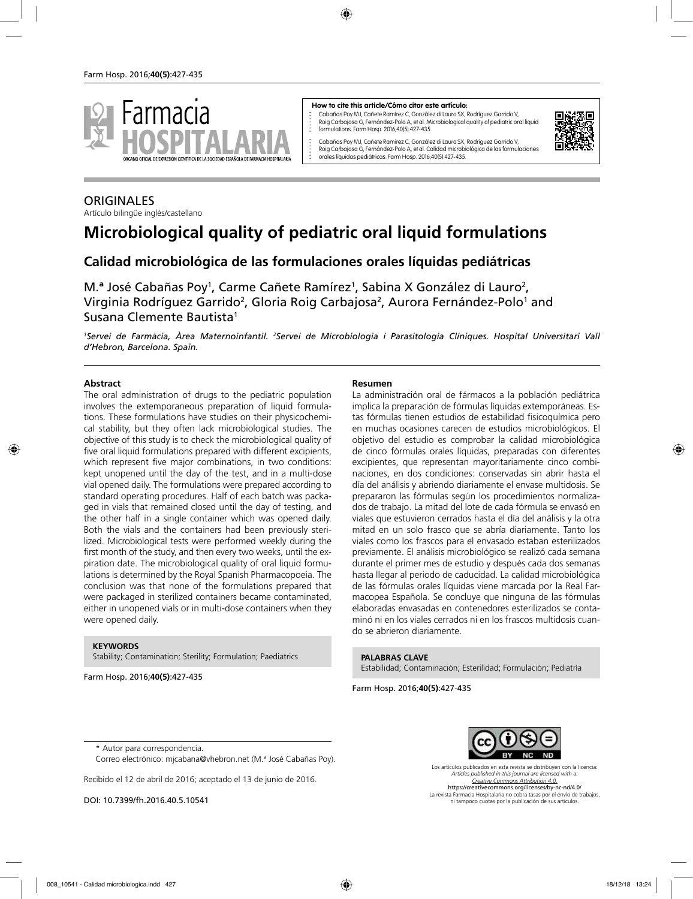

#### **How to cite this article/Cómo citar este artículo:**

Cabañas Poy MJ, Cañete Ramírez C, González di Lauro SX, Rodríguez Garrido V, Roig Carbajosa G, Fernández-Polo A, et al. Microbiological quality of pediatric oral liquid formulations. Farm Hosp. 2016;40(5):427-435.

Cabañas Poy MJ, Cañete Ramírez C, González di Lauro SX, Rodríguez Garrido V, Roig Carbajosa G, Fernández-Polo A, et al. Calidad microbiológica de las formulaciones orales líquidas pediátricas. Farm Hosp. 2016;40(5):427-435.



### **ORIGINALES**

Artículo bilingüe inglés/castellano

# **Microbiological quality of pediatric oral liquid formulations**

## **Calidad microbiológica de las formulaciones orales líquidas pediátricas**

M.ª José Cabañas Poy<sup>1</sup>, Carme Cañete Ramírez<sup>1</sup>, Sabina X González di Lauro<sup>2</sup>, Virginia Rodríguez Garrido<sup>2</sup>, Gloria Roig Carbajosa<sup>2</sup>, Aurora Fernández-Polo<sup>1</sup> and Susana Clemente Bautista<sup>1</sup>

<sup>1</sup>Servei de Farmàcia, Àrea Maternoinfantil. <sup>2</sup>Servei de Microbiologia i Parasitologia Clíniques. Hospital Universitari Vall *d'Hebron, Barcelona. Spain.*

#### **Abstract**

The oral administration of drugs to the pediatric population involves the extemporaneous preparation of liquid formulations. These formulations have studies on their physicochemical stability, but they often lack microbiological studies. The objective of this study is to check the microbiological quality of five oral liquid formulations prepared with different excipients, which represent five major combinations, in two conditions: kept unopened until the day of the test, and in a multi-dose vial opened daily. The formulations were prepared according to standard operating procedures. Half of each batch was packaged in vials that remained closed until the day of testing, and the other half in a single container which was opened daily. Both the vials and the containers had been previously sterilized. Microbiological tests were performed weekly during the first month of the study, and then every two weeks, until the expiration date. The microbiological quality of oral liquid formulations is determined by the Royal Spanish Pharmacopoeia. The conclusion was that none of the formulations prepared that were packaged in sterilized containers became contaminated, either in unopened vials or in multi-dose containers when they were opened daily.

#### **KEYWORDS**

Stability; Contamination; Sterility; Formulation; Paediatrics

Farm Hosp. 2016;**40(5)**:427-435

#### **Resumen**

La administración oral de fármacos a la población pediátrica implica la preparación de fórmulas líquidas extemporáneas. Estas fórmulas tienen estudios de estabilidad fisicoquímica pero en muchas ocasiones carecen de estudios microbiológicos. El objetivo del estudio es comprobar la calidad microbiológica de cinco fórmulas orales líquidas, preparadas con diferentes excipientes, que representan mayoritariamente cinco combinaciones, en dos condiciones: conservadas sin abrir hasta el día del análisis y abriendo diariamente el envase multidosis. Se prepararon las fórmulas según los procedimientos normalizados de trabajo. La mitad del lote de cada fórmula se envasó en viales que estuvieron cerrados hasta el día del análisis y la otra mitad en un solo frasco que se abría diariamente. Tanto los viales como los frascos para el envasado estaban esterilizados previamente. El análisis microbiológico se realizó cada semana durante el primer mes de estudio y después cada dos semanas hasta llegar al periodo de caducidad. La calidad microbiológica de las fórmulas orales líquidas viene marcada por la Real Farmacopea Española. Se concluye que ninguna de las fórmulas elaboradas envasadas en contenedores esterilizados se contaminó ni en los viales cerrados ni en los frascos multidosis cuando se abrieron diariamente.

**PALABRAS CLAVE**

Estabilidad; Contaminación; Esterilidad; Formulación; Pediatría

Farm Hosp. 2016;**40(5)**:427-435



Correo electrónico: mjcabana@vhebron.net (M.ª José Cabañas Poy).

Recibido el 12 de abril de 2016; aceptado el 13 de junio de 2016.

DOI: 10.7399/fh.2016.40.5.10541



Los artículos publicados en esta revista se distribuyen con la licencia: *Articles published in this journal are licensed with a: Creative Commons Attribution 4.0.* https://creativecommons.org/licenses/by-nc-nd/4.0/ La revista Farmacia Hospitalaria no cobra tasas por el envío de trabajos, ni tampoco cuotas por la publicación de sus artículos.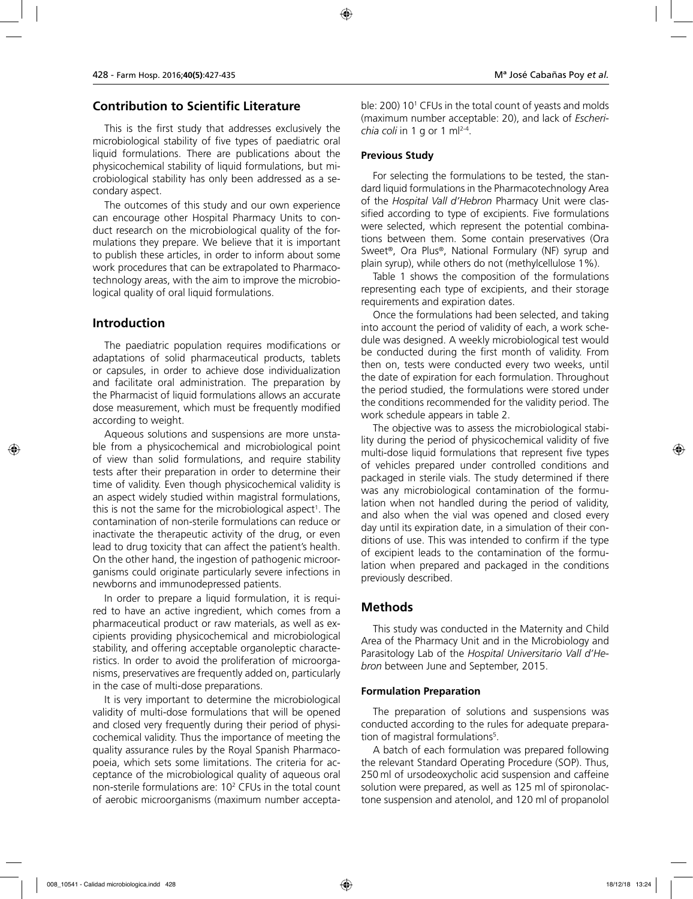### **Contribution to Scientific Literature**

This is the first study that addresses exclusively the microbiological stability of five types of paediatric oral liquid formulations. There are publications about the physicochemical stability of liquid formulations, but microbiological stability has only been addressed as a secondary aspect.

The outcomes of this study and our own experience can encourage other Hospital Pharmacy Units to conduct research on the microbiological quality of the formulations they prepare. We believe that it is important to publish these articles, in order to inform about some work procedures that can be extrapolated to Pharmacotechnology areas, with the aim to improve the microbiological quality of oral liquid formulations.

### **Introduction**

The paediatric population requires modifications or adaptations of solid pharmaceutical products, tablets or capsules, in order to achieve dose individualization and facilitate oral administration. The preparation by the Pharmacist of liquid formulations allows an accurate dose measurement, which must be frequently modified according to weight.

Aqueous solutions and suspensions are more unstable from a physicochemical and microbiological point of view than solid formulations, and require stability tests after their preparation in order to determine their time of validity. Even though physicochemical validity is an aspect widely studied within magistral formulations, this is not the same for the microbiological aspect<sup>1</sup>. The contamination of non-sterile formulations can reduce or inactivate the therapeutic activity of the drug, or even lead to drug toxicity that can affect the patient's health. On the other hand, the ingestion of pathogenic microorganisms could originate particularly severe infections in newborns and immunodepressed patients.

In order to prepare a liquid formulation, it is required to have an active ingredient, which comes from a pharmaceutical product or raw materials, as well as excipients providing physicochemical and microbiological stability, and offering acceptable organoleptic characteristics. In order to avoid the proliferation of microorganisms, preservatives are frequently added on, particularly in the case of multi-dose preparations.

It is very important to determine the microbiological validity of multi-dose formulations that will be opened and closed very frequently during their period of physicochemical validity. Thus the importance of meeting the quality assurance rules by the Royal Spanish Pharmacopoeia, which sets some limitations. The criteria for acceptance of the microbiological quality of aqueous oral non-sterile formulations are: 10<sup>2</sup> CFUs in the total count of aerobic microorganisms (maximum number accepta-

ble: 200) 10 $^{\rm t}$  CFUs in the total count of yeasts and molds  $\,$ (maximum number acceptable: 20), and lack of *Escherichia coli* in 1 g or 1 ml2-4.

#### **Previous Study**

For selecting the formulations to be tested, the standard liquid formulations in the Pharmacotechnology Area of the *Hospital Vall d'Hebron* Pharmacy Unit were classified according to type of excipients. Five formulations were selected, which represent the potential combinations between them. Some contain preservatives (Ora Sweet®, Ora Plus®, National Formulary (NF) syrup and plain syrup), while others do not (methylcellulose 1%).

Table 1 shows the composition of the formulations representing each type of excipients, and their storage requirements and expiration dates.

Once the formulations had been selected, and taking into account the period of validity of each, a work schedule was designed. A weekly microbiological test would be conducted during the first month of validity. From then on, tests were conducted every two weeks, until the date of expiration for each formulation. Throughout the period studied, the formulations were stored under the conditions recommended for the validity period. The work schedule appears in table 2.

The objective was to assess the microbiological stability during the period of physicochemical validity of five multi-dose liquid formulations that represent five types of vehicles prepared under controlled conditions and packaged in sterile vials. The study determined if there was any microbiological contamination of the formulation when not handled during the period of validity, and also when the vial was opened and closed every day until its expiration date, in a simulation of their conditions of use. This was intended to confirm if the type of excipient leads to the contamination of the formulation when prepared and packaged in the conditions previously described.

### **Methods**

This study was conducted in the Maternity and Child Area of the Pharmacy Unit and in the Microbiology and Parasitology Lab of the *Hospital Universitario Vall d'Hebron* between June and September, 2015.

#### **Formulation Preparation**

The preparation of solutions and suspensions was conducted according to the rules for adequate preparation of magistral formulations<sup>5</sup>.

A batch of each formulation was prepared following the relevant Standard Operating Procedure (SOP). Thus, 250 ml of ursodeoxycholic acid suspension and caffeine solution were prepared, as well as 125 ml of spironolactone suspension and atenolol, and 120 ml of propanolol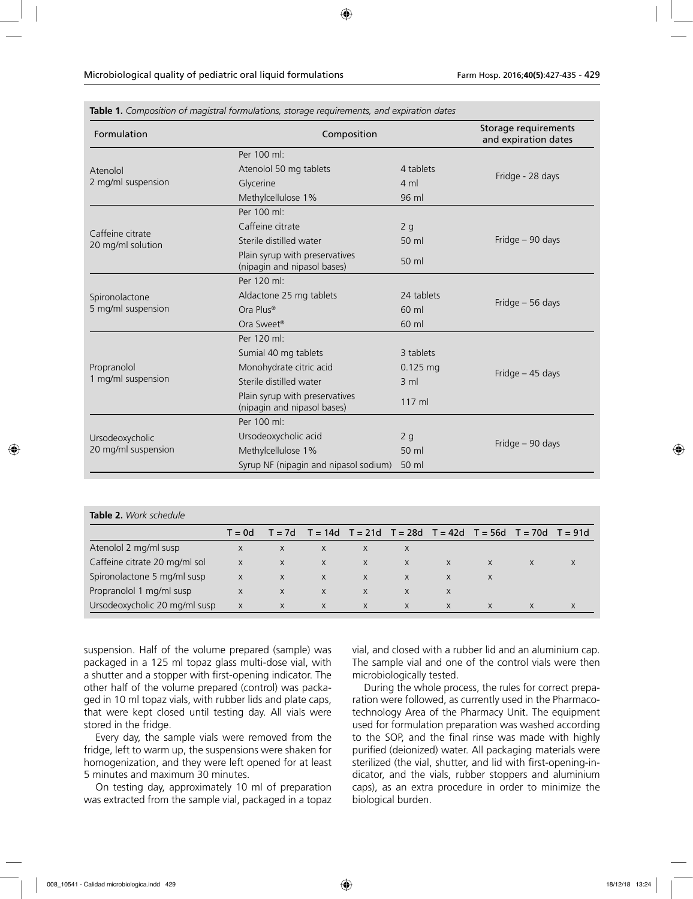| Formulation                                                                   | Composition                                                   | Storage requirements<br>and expiration dates |                  |  |  |  |
|-------------------------------------------------------------------------------|---------------------------------------------------------------|----------------------------------------------|------------------|--|--|--|
|                                                                               | Per 100 ml:                                                   |                                              |                  |  |  |  |
| Atenolol                                                                      | Atenolol 50 mg tablets                                        | 4 tablets                                    | Fridge - 28 days |  |  |  |
| 2 mg/ml suspension                                                            | Glycerine                                                     | $4 \text{ ml}$                               |                  |  |  |  |
|                                                                               | Methylcellulose 1%                                            | 96 ml                                        |                  |  |  |  |
| Caffeine citrate<br>20 mg/ml solution<br>Spironolactone<br>5 mg/ml suspension | Per 100 ml:                                                   |                                              |                  |  |  |  |
|                                                                               | Caffeine citrate                                              | 2g                                           |                  |  |  |  |
|                                                                               | Sterile distilled water                                       | 50 ml                                        | Fridge - 90 days |  |  |  |
|                                                                               | Plain syrup with preservatives<br>(nipagin and nipasol bases) | 50 ml                                        |                  |  |  |  |
|                                                                               | Per 120 ml:                                                   |                                              |                  |  |  |  |
|                                                                               | Aldactone 25 mg tablets                                       | 24 tablets                                   | Fridge - 56 days |  |  |  |
|                                                                               | Ora Plus®                                                     | 60 ml                                        |                  |  |  |  |
|                                                                               | Ora Sweet®                                                    | 60 ml                                        |                  |  |  |  |
|                                                                               | Per 120 ml:                                                   |                                              |                  |  |  |  |
|                                                                               | Sumial 40 mg tablets                                          | 3 tablets                                    |                  |  |  |  |
| Propranolol<br>1 mg/ml suspension                                             | Monohydrate citric acid                                       | $0.125$ mg                                   | Fridge - 45 days |  |  |  |
|                                                                               | Sterile distilled water                                       | $3$ m                                        |                  |  |  |  |
|                                                                               | Plain syrup with preservatives<br>(nipagin and nipasol bases) | 117 ml                                       |                  |  |  |  |
|                                                                               | Per 100 ml:                                                   |                                              |                  |  |  |  |
| Ursodeoxycholic                                                               | Ursodeoxycholic acid                                          | 2g                                           | Fridge - 90 days |  |  |  |
| 20 mg/ml suspension                                                           | Methylcellulose 1%                                            | 50 ml                                        |                  |  |  |  |
|                                                                               | Syrup NF (nipagin and nipasol sodium)                         | 50 ml                                        |                  |  |  |  |

|  |  |  |  |  |  | Table 1. Composition of magistral formulations, storage requirements, and expiration dates |  |
|--|--|--|--|--|--|--------------------------------------------------------------------------------------------|--|
|--|--|--|--|--|--|--------------------------------------------------------------------------------------------|--|

|  | <b>Table 2.</b> Work schedule |
|--|-------------------------------|
|--|-------------------------------|

|                               | $T = 0d$ | $T = 7d$ | $T = 14d$ $T = 21d$ $T = 28d$ $T = 42d$ $T = 56d$ $T = 70d$ $T = 91d$ |   |              |          |          |   |   |
|-------------------------------|----------|----------|-----------------------------------------------------------------------|---|--------------|----------|----------|---|---|
| Atenolol 2 mg/ml susp         | X        | X        | X                                                                     | X |              |          |          |   |   |
| Caffeine citrate 20 mg/ml sol | X        | X        | X                                                                     | X | $\mathsf{X}$ | $\times$ | X        | X |   |
| Spironolactone 5 mg/ml susp   | X        | X        | $\times$                                                              | X | $\mathsf{X}$ | X        |          |   |   |
| Propranolol 1 mg/ml susp      | X        | $\times$ | $\times$                                                              | X | $\times$     | X        |          |   |   |
| Ursodeoxycholic 20 mg/ml susp | X        | X        | $\times$                                                              | X | $\mathsf{X}$ | X        | $\times$ |   | X |

suspension. Half of the volume prepared (sample) was packaged in a 125 ml topaz glass multi-dose vial, with a shutter and a stopper with first-opening indicator. The other half of the volume prepared (control) was packaged in 10 ml topaz vials, with rubber lids and plate caps, that were kept closed until testing day. All vials were stored in the fridge.

Every day, the sample vials were removed from the fridge, left to warm up, the suspensions were shaken for homogenization, and they were left opened for at least 5 minutes and maximum 30 minutes.

On testing day, approximately 10 ml of preparation was extracted from the sample vial, packaged in a topaz vial, and closed with a rubber lid and an aluminium cap. The sample vial and one of the control vials were then microbiologically tested.

During the whole process, the rules for correct preparation were followed, as currently used in the Pharmacotechnology Area of the Pharmacy Unit. The equipment used for formulation preparation was washed according to the SOP, and the final rinse was made with highly purified (deionized) water. All packaging materials were sterilized (the vial, shutter, and lid with first-opening-indicator, and the vials, rubber stoppers and aluminium caps), as an extra procedure in order to minimize the biological burden.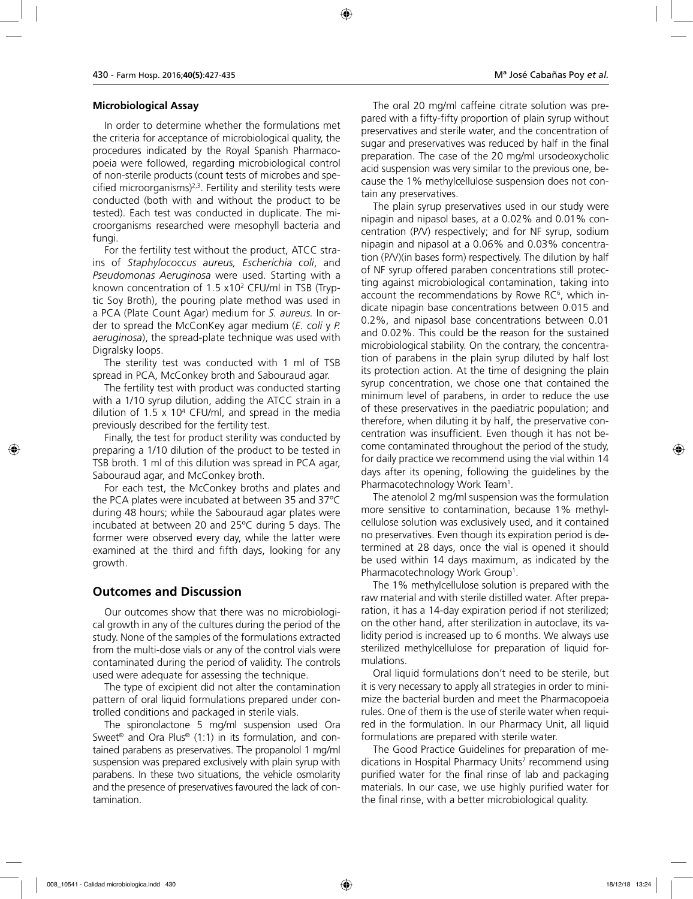#### **Microbiological Assay**

In order to determine whether the formulations met the criteria for acceptance of microbiological quality, the procedures indicated by the Royal Spanish Pharmacopoeia were followed, regarding microbiological control of non-sterile products (count tests of microbes and specified microorganisms) $2,3$ . Fertility and sterility tests were conducted (both with and without the product to be tested). Each test was conducted in duplicate. The microorganisms researched were mesophyll bacteria and fungi.

For the fertility test without the product, ATCC strains of *Staphylococcus aureus, Escherichia coli*, and *Pseudomonas Aeruginosa* were used. Starting with a known concentration of 1.5 x102 CFU/ml in TSB (Tryptic Soy Broth), the pouring plate method was used in a PCA (Plate Count Agar) medium for *S. aureus.* In order to spread the McConKey agar medium (*E. coli* y *P. aeruginosa*), the spread-plate technique was used with Digralsky loops.

The sterility test was conducted with 1 ml of TSB spread in PCA, McConkey broth and Sabouraud agar.

The fertility test with product was conducted starting with a 1/10 syrup dilution, adding the ATCC strain in a dilution of 1.5 x 104 CFU/ml, and spread in the media previously described for the fertility test.

Finally, the test for product sterility was conducted by preparing a 1/10 dilution of the product to be tested in TSB broth. 1 ml of this dilution was spread in PCA agar, Sabouraud agar, and McConkey broth.

For each test, the McConkey broths and plates and the PCA plates were incubated at between 35 and 37ºC during 48 hours; while the Sabouraud agar plates were incubated at between 20 and 25ºC during 5 days. The former were observed every day, while the latter were examined at the third and fifth days, looking for any growth.

### **Outcomes and Discussion**

Our outcomes show that there was no microbiological growth in any of the cultures during the period of the study. None of the samples of the formulations extracted from the multi-dose vials or any of the control vials were contaminated during the period of validity. The controls used were adequate for assessing the technique.

The type of excipient did not alter the contamination pattern of oral liquid formulations prepared under controlled conditions and packaged in sterile vials.

The spironolactone 5 mg/ml suspension used Ora Sweet® and Ora Plus® (1:1) in its formulation, and contained parabens as preservatives. The propanolol 1 mg/ml suspension was prepared exclusively with plain syrup with parabens. In these two situations, the vehicle osmolarity and the presence of preservatives favoured the lack of contamination.

The oral 20 mg/ml caffeine citrate solution was prepared with a fifty-fifty proportion of plain syrup without preservatives and sterile water, and the concentration of sugar and preservatives was reduced by half in the final preparation. The case of the 20 mg/ml ursodeoxycholic acid suspension was very similar to the previous one, because the 1% methylcellulose suspension does not contain any preservatives.

The plain syrup preservatives used in our study were nipagin and nipasol bases, at a 0.02% and 0.01% concentration (P/V) respectively; and for NF syrup, sodium nipagin and nipasol at a 0.06% and 0.03% concentration (P/V)(in bases form) respectively. The dilution by half of NF syrup offered paraben concentrations still protecting against microbiological contamination, taking into account the recommendations by Rowe RC $^{\circ}$ , which indicate nipagin base concentrations between 0.015 and 0.2%, and nipasol base concentrations between 0.01 and 0.02%. This could be the reason for the sustained microbiological stability. On the contrary, the concentration of parabens in the plain syrup diluted by half lost its protection action. At the time of designing the plain syrup concentration, we chose one that contained the minimum level of parabens, in order to reduce the use of these preservatives in the paediatric population; and therefore, when diluting it by half, the preservative concentration was insufficient. Even though it has not become contaminated throughout the period of the study, for daily practice we recommend using the vial within 14 days after its opening, following the guidelines by the Pharmacotechnology Work Team1 .

The atenolol 2 mg/ml suspension was the formulation more sensitive to contamination, because 1% methylcellulose solution was exclusively used, and it contained no preservatives. Even though its expiration period is determined at 28 days, once the vial is opened it should be used within 14 days maximum, as indicated by the Pharmacotechnology Work Group<sup>1</sup>.

The 1% methylcellulose solution is prepared with the raw material and with sterile distilled water. After preparation, it has a 14-day expiration period if not sterilized; on the other hand, after sterilization in autoclave, its validity period is increased up to 6 months. We always use sterilized methylcellulose for preparation of liquid formulations.

Oral liquid formulations don't need to be sterile, but it is very necessary to apply all strategies in order to minimize the bacterial burden and meet the Pharmacopoeia rules. One of them is the use of sterile water when required in the formulation. In our Pharmacy Unit, all liquid formulations are prepared with sterile water.

The Good Practice Guidelines for preparation of medications in Hospital Pharmacy Units<sup>7</sup> recommend using purified water for the final rinse of lab and packaging materials. In our case, we use highly purified water for the final rinse, with a better microbiological quality.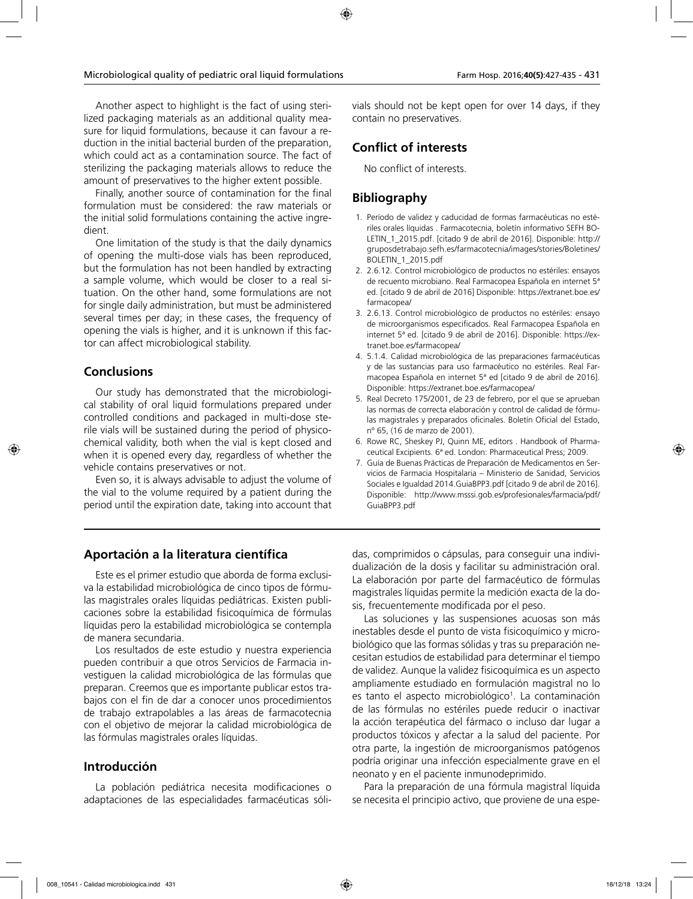Another aspect to highlight is the fact of using sterilized packaging materials as an additional quality measure for liquid formulations, because it can favour a reduction in the initial bacterial burden of the preparation, which could act as a contamination source. The fact of sterilizing the packaging materials allows to reduce the amount of preservatives to the higher extent possible.

Finally, another source of contamination for the final formulation must be considered: the raw materials or the initial solid formulations containing the active ingredient.

One limitation of the study is that the daily dynamics of opening the multi-dose vials has been reproduced, but the formulation has not been handled by extracting a sample volume, which would be closer to a real situation. On the other hand, some formulations are not for single daily administration, but must be administered several times per day; in these cases, the frequency of opening the vials is higher, and it is unknown if this factor can affect microbiological stability.

### **Conclusions**

Our study has demonstrated that the microbiological stability of oral liquid formulations prepared under controlled conditions and packaged in multi-dose sterile vials will be sustained during the period of physicochemical validity, both when the vial is kept closed and when it is opened every day, regardless of whether the vehicle contains preservatives or not.

Even so, it is always advisable to adjust the volume of the vial to the volume required by a patient during the period until the expiration date, taking into account that vials should not be kept open for over 14 days, if they contain no preservatives.

## **Conflict of interests**

No conflict of interests.

## **Bibliography**

- 1. Período de validez y caducidad de formas farmacéuticas no estériles orales líquidas . Farmacotecnia, boletín informativo SEFH BO-LETIN\_1\_2015.pdf. [citado 9 de abril de 2016]. Disponible: http:// gruposdetrabajo.sefh.es/farmacotecnia/images/stories/Boletines/ BOLETIN\_1\_2015.pdf
- 2. 2.6.12. Control microbiológico de productos no estériles: ensayos de recuento microbiano. Real Farmacopea Española en internet 5ª ed. [citado 9 de abril de 2016] Disponible: https://extranet.boe.es/ farmacopea/
- 3. 2.6.13. Control microbiológico de productos no estériles: ensayo de microorganismos especificados. Real Farmacopea Española en internet 5ª ed. [citado 9 de abril de 2016]. Disponible: https://extranet.boe.es/farmacopea/
- 4. 5.1.4. Calidad microbiológica de las preparaciones farmacéuticas y de las sustancias para uso farmacéutico no estériles. Real Farmacopea Española en internet 5ª ed [citado 9 de abril de 2016]. Disponible: https://extranet.boe.es/farmacopea/
- 5. Real Decreto 175/2001, de 23 de febrero, por el que se aprueban las normas de correcta elaboración y control de calidad de fórmulas magistrales y preparados oficinales. Boletín Oficial del Estado, nº 65, (16 de marzo de 2001).
- 6. Rowe RC, Sheskey PJ, Quinn ME, editors . Handbook of Pharmaceutical Excipients. 6ª ed. London: Pharmaceutical Press; 2009.
- 7. Guía de Buenas Prácticas de Preparación de Medicamentos en Servicios de Farmacia Hospitalaria – Ministerio de Sanidad, Servicios Sociales e Igualdad 2014.GuiaBPP3.pdf [citado 9 de abril de 2016]. Disponible: http://www.msssi.gob.es/profesionales/farmacia/pdf/ GuiaBPP3.pdf

### **Aportación a la literatura científica**

Este es el primer estudio que aborda de forma exclusiva la estabilidad microbiológica de cinco tipos de fórmulas magistrales orales líquidas pediátricas. Existen publicaciones sobre la estabilidad fisicoquímica de fórmulas líquidas pero la estabilidad microbiológica se contempla de manera secundaria.

Los resultados de este estudio y nuestra experiencia pueden contribuir a que otros Servicios de Farmacia investiguen la calidad microbiológica de las fórmulas que preparan. Creemos que es importante publicar estos trabajos con el fin de dar a conocer unos procedimientos de trabajo extrapolables a las áreas de farmacotecnia con el objetivo de mejorar la calidad microbiológica de las fórmulas magistrales orales líquidas.

### **Introducción**

La población pediátrica necesita modificaciones o adaptaciones de las especialidades farmacéuticas sóli-

das, comprimidos o cápsulas, para conseguir una individualización de la dosis y facilitar su administración oral. La elaboración por parte del farmacéutico de fórmulas magistrales líquidas permite la medición exacta de la dosis, frecuentemente modificada por el peso.

Las soluciones y las suspensiones acuosas son más inestables desde el punto de vista fisicoquímico y microbiológico que las formas sólidas y tras su preparación necesitan estudios de estabilidad para determinar el tiempo de validez. Aunque la validez fisicoquímica es un aspecto ampliamente estudiado en formulación magistral no lo es tanto el aspecto microbiológico<sup>1</sup>. La contaminación de las fórmulas no estériles puede reducir o inactivar la acción terapéutica del fármaco o incluso dar lugar a productos tóxicos y afectar a la salud del paciente. Por otra parte, la ingestión de microorganismos patógenos podría originar una infección especialmente grave en el neonato y en el paciente inmunodeprimido.

Para la preparación de una fórmula magistral líquida se necesita el principio activo, que proviene de una espe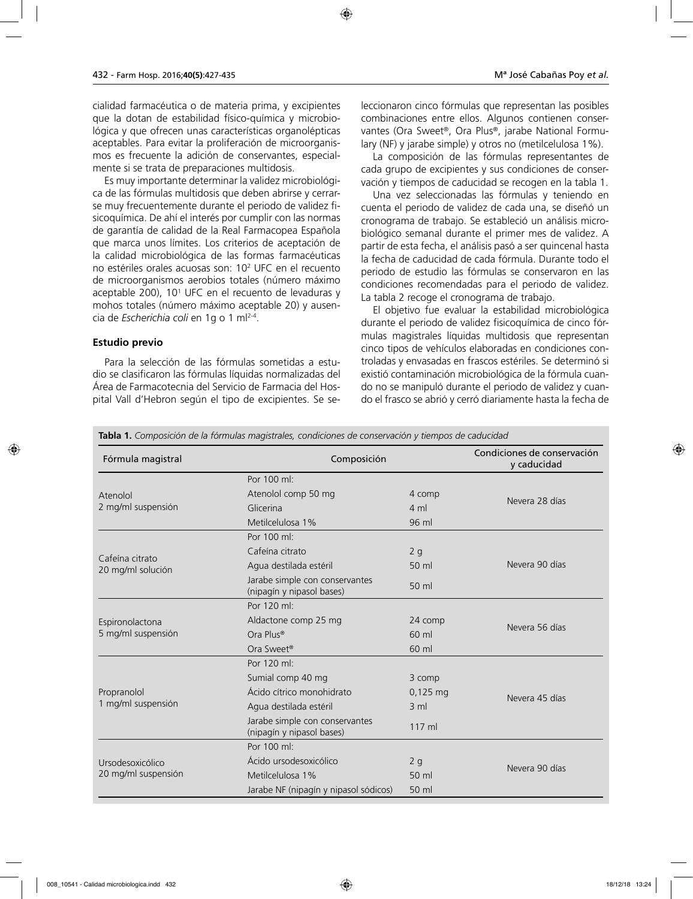cialidad farmacéutica o de materia prima, y excipientes que la dotan de estabilidad físico-química y microbiológica y que ofrecen unas características organolépticas aceptables. Para evitar la proliferación de microorganismos es frecuente la adición de conservantes, especialmente si se trata de preparaciones multidosis.

Es muy importante determinar la validez microbiológica de las fórmulas multidosis que deben abrirse y cerrarse muy frecuentemente durante el periodo de validez fisicoquímica. De ahí el interés por cumplir con las normas de garantía de calidad de la Real Farmacopea Española que marca unos límites. Los criterios de aceptación de la calidad microbiológica de las formas farmacéuticas no estériles orales acuosas son: 102 UFC en el recuento de microorganismos aerobios totales (número máximo aceptable 200), 101 UFC en el recuento de levaduras y mohos totales (número máximo aceptable 20) y ausencia de *Escherichia coli* en 1g o 1 ml2-4.

#### **Estudio previo**

Para la selección de las fórmulas sometidas a estudio se clasificaron las fórmulas líquidas normalizadas del Área de Farmacotecnia del Servicio de Farmacia del Hospital Vall d'Hebron según el tipo de excipientes. Se seleccionaron cinco fórmulas que representan las posibles combinaciones entre ellos. Algunos contienen conservantes (Ora Sweet®, Ora Plus®, jarabe National Formulary (NF) y jarabe simple) y otros no (metilcelulosa 1%).

La composición de las fórmulas representantes de cada grupo de excipientes y sus condiciones de conservación y tiempos de caducidad se recogen en la tabla 1.

Una vez seleccionadas las fórmulas y teniendo en cuenta el periodo de validez de cada una, se diseñó un cronograma de trabajo. Se estableció un análisis microbiológico semanal durante el primer mes de validez. A partir de esta fecha, el análisis pasó a ser quincenal hasta la fecha de caducidad de cada fórmula. Durante todo el periodo de estudio las fórmulas se conservaron en las condiciones recomendadas para el periodo de validez. La tabla 2 recoge el cronograma de trabajo.

El objetivo fue evaluar la estabilidad microbiológica durante el periodo de validez fisicoquímica de cinco fórmulas magistrales líquidas multidosis que representan cinco tipos de vehículos elaboradas en condiciones controladas y envasadas en frascos estériles. Se determinó si existió contaminación microbiológica de la fórmula cuando no se manipuló durante el periodo de validez y cuando el frasco se abrió y cerró diariamente hasta la fecha de

**Tabla 1.** *Composición de la fórmulas magistrales, condiciones de conservación y tiempos de caducidad*

| Fórmula magistral                    | Composición                                                 | Por 100 ml:    |                |  |  |  |
|--------------------------------------|-------------------------------------------------------------|----------------|----------------|--|--|--|
|                                      |                                                             |                |                |  |  |  |
| Atenolol                             | Atenolol comp 50 mg                                         | 4 comp         | Nevera 28 días |  |  |  |
| 2 mg/ml suspensión                   | Glicerina                                                   | $4 \text{ ml}$ |                |  |  |  |
|                                      | Metilcelulosa 1%                                            | 96 ml          |                |  |  |  |
|                                      | Por 100 ml:                                                 |                |                |  |  |  |
|                                      | Cafeína citrato                                             | 2g             |                |  |  |  |
| Cafeína citrato<br>20 mg/ml solución | Agua destilada estéril                                      | 50 ml          | Nevera 90 días |  |  |  |
|                                      | Jarabe simple con conservantes<br>(nipagín y nipasol bases) | 50 ml          |                |  |  |  |
|                                      | Por 120 ml:                                                 |                |                |  |  |  |
| Espironolactona                      | Aldactone comp 25 mg                                        | 24 comp        |                |  |  |  |
| 5 mg/ml suspensión                   | Ora Plus®                                                   | $60$ m         |                |  |  |  |
|                                      | Ora Sweet®                                                  | 60 ml          |                |  |  |  |
|                                      | Por 120 ml:                                                 |                |                |  |  |  |
|                                      | Sumial comp 40 mg                                           | 3 comp         |                |  |  |  |
| Propranolol                          | Ácido cítrico monohidrato                                   | $0,125$ mg     | Nevera 45 días |  |  |  |
| 1 mg/ml suspensión                   | Agua destilada estéril                                      | $3 \text{ ml}$ |                |  |  |  |
|                                      | Jarabe simple con conservantes<br>(nipagín y nipasol bases) | 117 ml         |                |  |  |  |
| Ursodesoxicólico                     | Por $100$ ml $\cdot$                                        |                |                |  |  |  |
|                                      | Ácido ursodesoxicólico                                      | 2g             |                |  |  |  |
| 20 mg/ml suspensión                  | Metilcelulosa 1%                                            | 50 ml          | Nevera 90 días |  |  |  |
|                                      | Jarabe NF (nipagín y nipasol sódicos)                       |                |                |  |  |  |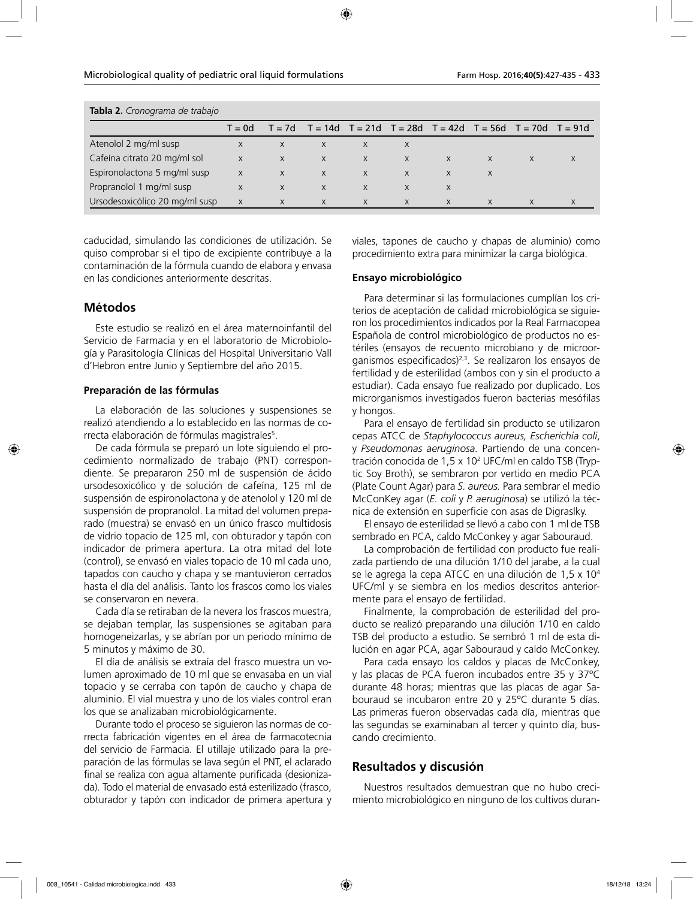| <b>Tabla 2.</b> Cronograma de trabajo |         |          |          |          |              |                                                             |   |   |           |
|---------------------------------------|---------|----------|----------|----------|--------------|-------------------------------------------------------------|---|---|-----------|
|                                       | $d = 0$ | $T = 7d$ |          |          |              | $T = 14d$ $T = 21d$ $T = 28d$ $T = 42d$ $T = 56d$ $T = 70d$ |   |   | $T = 91d$ |
| Atenolol 2 mg/ml susp                 | X       | X        | $\times$ | X        | X            |                                                             |   |   |           |
| Cafeína citrato 20 mg/ml sol          | X       | X        | X        | X        | $\mathsf{X}$ | $\mathsf{X}$                                                | X | X | X         |
| Espironolactona 5 mg/ml susp          | X       | $\times$ | X        | X        | $\mathsf{X}$ | X                                                           |   |   |           |
| Propranolol 1 mg/ml susp              | X       | $\times$ | X        | $\times$ | X            | X                                                           |   |   |           |
| Ursodesoxicólico 20 mg/ml susp        | X       | X        | $\times$ | $\times$ | $\times$     | X                                                           |   |   | X         |

**Tabla 2.** *Cronograma de trabajo*

caducidad, simulando las condiciones de utilización. Se quiso comprobar si el tipo de excipiente contribuye a la contaminación de la fórmula cuando de elabora y envasa en las condiciones anteriormente descritas.

### **Métodos**

Este estudio se realizó en el área maternoinfantil del Servicio de Farmacia y en el laboratorio de Microbiología y Parasitología Clínicas del Hospital Universitario Vall d'Hebron entre Junio y Septiembre del año 2015.

#### **Preparación de las fórmulas**

La elaboración de las soluciones y suspensiones se realizó atendiendo a lo establecido en las normas de correcta elaboración de fórmulas magistrales<sup>5</sup>.

De cada fórmula se preparó un lote siguiendo el procedimiento normalizado de trabajo (PNT) correspondiente. Se prepararon 250 ml de suspensión de ácido ursodesoxicólico y de solución de cafeína, 125 ml de suspensión de espironolactona y de atenolol y 120 ml de suspensión de propranolol. La mitad del volumen preparado (muestra) se envasó en un único frasco multidosis de vidrio topacio de 125 ml, con obturador y tapón con indicador de primera apertura. La otra mitad del lote (control), se envasó en viales topacio de 10 ml cada uno, tapados con caucho y chapa y se mantuvieron cerrados hasta el día del análisis. Tanto los frascos como los viales se conservaron en nevera.

Cada día se retiraban de la nevera los frascos muestra, se dejaban templar, las suspensiones se agitaban para homogeneizarlas, y se abrían por un periodo mínimo de 5 minutos y máximo de 30.

El día de análisis se extraía del frasco muestra un volumen aproximado de 10 ml que se envasaba en un vial topacio y se cerraba con tapón de caucho y chapa de aluminio. El vial muestra y uno de los viales control eran los que se analizaban microbiológicamente.

Durante todo el proceso se siguieron las normas de correcta fabricación vigentes en el área de farmacotecnia del servicio de Farmacia. El utillaje utilizado para la preparación de las fórmulas se lava según el PNT, el aclarado final se realiza con agua altamente purificada (desionizada). Todo el material de envasado está esterilizado (frasco, obturador y tapón con indicador de primera apertura y viales, tapones de caucho y chapas de aluminio) como procedimiento extra para minimizar la carga biológica.

#### **Ensayo microbiológico**

Para determinar si las formulaciones cumplían los criterios de aceptación de calidad microbiológica se siguieron los procedimientos indicados por la Real Farmacopea Española de control microbiológico de productos no estériles (ensayos de recuento microbiano y de microorganismos especificados) $2,3$ . Se realizaron los ensayos de fertilidad y de esterilidad (ambos con y sin el producto a estudiar). Cada ensayo fue realizado por duplicado. Los microrganismos investigados fueron bacterias mesófilas y hongos.

Para el ensayo de fertilidad sin producto se utilizaron cepas ATCC de *Staphylococcus aureus, Escherichia coli*, y *Pseudomonas aeruginosa.* Partiendo de una concentración conocida de 1,5 x 102 UFC/ml en caldo TSB (Tryptic Soy Broth), se sembraron por vertido en medio PCA (Plate Count Agar) para *S. aureus.* Para sembrar el medio McConKey agar (*E. coli* y *P. aeruginosa*) se utilizó la técnica de extensión en superficie con asas de Digraslky.

El ensayo de esterilidad se llevó a cabo con 1 ml de TSB sembrado en PCA, caldo McConkey y agar Sabouraud.

La comprobación de fertilidad con producto fue realizada partiendo de una dilución 1/10 del jarabe, a la cual se le agrega la cepa ATCC en una dilución de 1,5 x 104 UFC/ml y se siembra en los medios descritos anteriormente para el ensayo de fertilidad.

Finalmente, la comprobación de esterilidad del producto se realizó preparando una dilución 1/10 en caldo TSB del producto a estudio. Se sembró 1 ml de esta dilución en agar PCA, agar Sabouraud y caldo McConkey.

Para cada ensayo los caldos y placas de McConkey, y las placas de PCA fueron incubados entre 35 y 37ºC durante 48 horas; mientras que las placas de agar Sabouraud se incubaron entre 20 y 25ºC durante 5 días. Las primeras fueron observadas cada día, mientras que las segundas se examinaban al tercer y quinto día, buscando crecimiento.

### **Resultados y discusión**

Nuestros resultados demuestran que no hubo crecimiento microbiológico en ninguno de los cultivos duran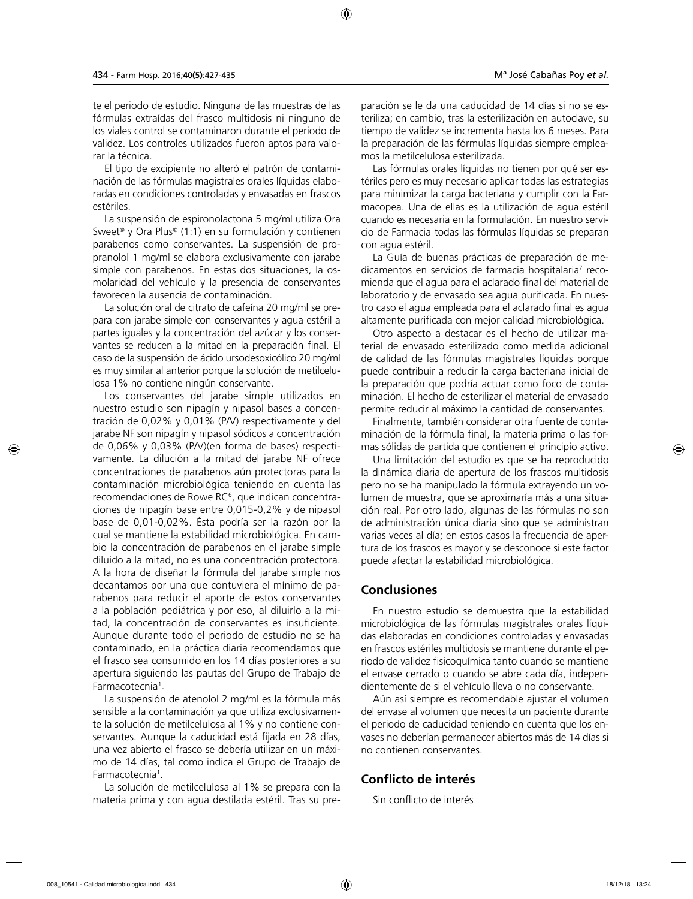te el periodo de estudio. Ninguna de las muestras de las fórmulas extraídas del frasco multidosis ni ninguno de los viales control se contaminaron durante el periodo de validez. Los controles utilizados fueron aptos para valorar la técnica.

El tipo de excipiente no alteró el patrón de contaminación de las fórmulas magistrales orales líquidas elaboradas en condiciones controladas y envasadas en frascos estériles.

La suspensión de espironolactona 5 mg/ml utiliza Ora Sweet® y Ora Plus® (1:1) en su formulación y contienen parabenos como conservantes. La suspensión de propranolol 1 mg/ml se elabora exclusivamente con jarabe simple con parabenos. En estas dos situaciones, la osmolaridad del vehículo y la presencia de conservantes favorecen la ausencia de contaminación.

La solución oral de citrato de cafeína 20 mg/ml se prepara con jarabe simple con conservantes y agua estéril a partes iguales y la concentración del azúcar y los conservantes se reducen a la mitad en la preparación final. El caso de la suspensión de ácido ursodesoxicólico 20 mg/ml es muy similar al anterior porque la solución de metilcelulosa 1% no contiene ningún conservante.

Los conservantes del jarabe simple utilizados en nuestro estudio son nipagín y nipasol bases a concentración de 0,02% y 0,01% (P/V) respectivamente y del jarabe NF son nipagín y nipasol sódicos a concentración de 0,06% y 0,03% (P/V)(en forma de bases) respectivamente. La dilución a la mitad del jarabe NF ofrece concentraciones de parabenos aún protectoras para la contaminación microbiológica teniendo en cuenta las recomendaciones de Rowe RC<sup>6</sup>, que indican concentraciones de nipagín base entre 0,015-0,2% y de nipasol base de 0,01-0,02%. Ésta podría ser la razón por la cual se mantiene la estabilidad microbiológica. En cambio la concentración de parabenos en el jarabe simple diluido a la mitad, no es una concentración protectora. A la hora de diseñar la fórmula del jarabe simple nos decantamos por una que contuviera el mínimo de parabenos para reducir el aporte de estos conservantes a la población pediátrica y por eso, al diluirlo a la mitad, la concentración de conservantes es insuficiente. Aunque durante todo el periodo de estudio no se ha contaminado, en la práctica diaria recomendamos que el frasco sea consumido en los 14 días posteriores a su apertura siguiendo las pautas del Grupo de Trabajo de Farmacotecnia<sup>1</sup>.

La suspensión de atenolol 2 mg/ml es la fórmula más sensible a la contaminación ya que utiliza exclusivamente la solución de metilcelulosa al 1% y no contiene conservantes. Aunque la caducidad está fijada en 28 días, una vez abierto el frasco se debería utilizar en un máximo de 14 días, tal como indica el Grupo de Trabajo de Farmacotecnia<sup>1</sup>.

La solución de metilcelulosa al 1% se prepara con la materia prima y con agua destilada estéril. Tras su preparación se le da una caducidad de 14 días si no se esteriliza; en cambio, tras la esterilización en autoclave, su tiempo de validez se incrementa hasta los 6 meses. Para la preparación de las fórmulas líquidas siempre empleamos la metilcelulosa esterilizada.

Las fórmulas orales líquidas no tienen por qué ser estériles pero es muy necesario aplicar todas las estrategias para minimizar la carga bacteriana y cumplir con la Farmacopea. Una de ellas es la utilización de agua estéril cuando es necesaria en la formulación. En nuestro servicio de Farmacia todas las fórmulas líquidas se preparan con agua estéril.

La Guía de buenas prácticas de preparación de medicamentos en servicios de farmacia hospitalaria<sup>7</sup> recomienda que el agua para el aclarado final del material de laboratorio y de envasado sea agua purificada. En nuestro caso el agua empleada para el aclarado final es agua altamente purificada con mejor calidad microbiológica.

Otro aspecto a destacar es el hecho de utilizar material de envasado esterilizado como medida adicional de calidad de las fórmulas magistrales líquidas porque puede contribuir a reducir la carga bacteriana inicial de la preparación que podría actuar como foco de contaminación. El hecho de esterilizar el material de envasado permite reducir al máximo la cantidad de conservantes.

Finalmente, también considerar otra fuente de contaminación de la fórmula final, la materia prima o las formas sólidas de partida que contienen el principio activo.

Una limitación del estudio es que se ha reproducido la dinámica diaria de apertura de los frascos multidosis pero no se ha manipulado la fórmula extrayendo un volumen de muestra, que se aproximaría más a una situación real. Por otro lado, algunas de las fórmulas no son de administración única diaria sino que se administran varias veces al día; en estos casos la frecuencia de apertura de los frascos es mayor y se desconoce si este factor puede afectar la estabilidad microbiológica.

### **Conclusiones**

En nuestro estudio se demuestra que la estabilidad microbiológica de las fórmulas magistrales orales líquidas elaboradas en condiciones controladas y envasadas en frascos estériles multidosis se mantiene durante el periodo de validez fisicoquímica tanto cuando se mantiene el envase cerrado o cuando se abre cada día, independientemente de si el vehículo lleva o no conservante.

Aún así siempre es recomendable ajustar el volumen del envase al volumen que necesita un paciente durante el periodo de caducidad teniendo en cuenta que los envases no deberían permanecer abiertos más de 14 días si no contienen conservantes.

### **Conflicto de interés**

Sin conflicto de interés